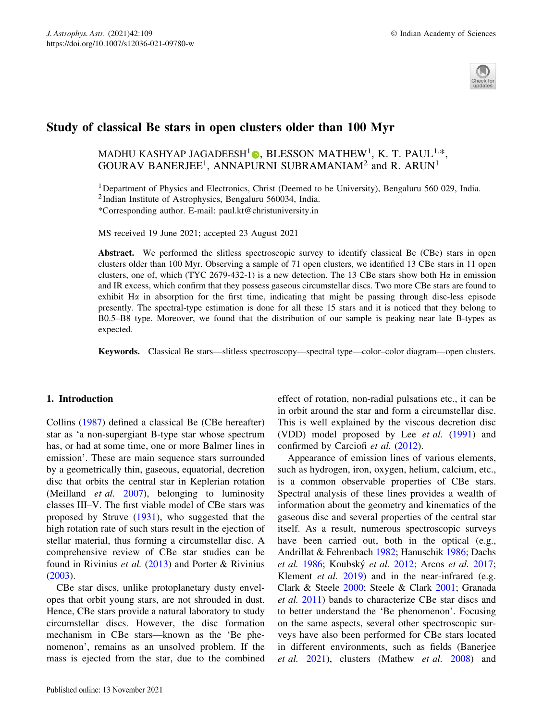

# Study of classical Be stars in open clusters older than 100 Myr

# MADHU KASHYAP JAGADEESH<sup>1</sup>O, BLESSON MATHEW<sup>1</sup>, K. T. PAUL<sup>1,\*</sup>, GOURAV BANERJEE<sup>1</sup>, ANNAPURNI SUBRAMANIAM<sup>2</sup> and R. ARUN<sup>1</sup>

<sup>1</sup>Department of Physics and Electronics, Christ (Deemed to be University), Bengaluru 560 029, India. 2Indian Institute of Astrophysics, Bengaluru 560034, India. \*Corresponding author. E-mail: paul.kt@christuniversity.in

MS received 19 June 2021; accepted 23 August 2021

Abstract. We performed the slitless spectroscopic survey to identify classical Be (CBe) stars in open clusters older than 100 Myr. Observing a sample of 71 open clusters, we identified 13 CBe stars in 11 open clusters, one of, which (TYC 2679-432-1) is a new detection. The 13 CBe stars show both H $\alpha$  in emission and IR excess, which confirm that they possess gaseous circumstellar discs. Two more CBe stars are found to exhibit  $H\alpha$  in absorption for the first time, indicating that might be passing through disc-less episode presently. The spectral-type estimation is done for all these 15 stars and it is noticed that they belong to B0.5–B8 type. Moreover, we found that the distribution of our sample is peaking near late B-types as expected.

Keywords. Classical Be stars—slitless spectroscopy—spectral type—color–color diagram—open clusters.

## 1. Introduction

Collins (1987) defined a classical Be (CBe hereafter) star as 'a non-supergiant B-type star whose spectrum has, or had at some time, one or more Balmer lines in emission'. These are main sequence stars surrounded by a geometrically thin, gaseous, equatorial, decretion disc that orbits the central star in Keplerian rotation (Meilland *et al.*  $2007$ ), belonging to luminosity classes III–V. The first viable model of CBe stars was proposed by Struve (1931), who suggested that the high rotation rate of such stars result in the ejection of stellar material, thus forming a circumstellar disc. A comprehensive review of CBe star studies can be found in Rivinius et al. (2013) and Porter & Rivinius (2003).

CBe star discs, unlike protoplanetary dusty envelopes that orbit young stars, are not shrouded in dust. Hence, CBe stars provide a natural laboratory to study circumstellar discs. However, the disc formation mechanism in CBe stars—known as the 'Be phenomenon', remains as an unsolved problem. If the mass is ejected from the star, due to the combined effect of rotation, non-radial pulsations etc., it can be in orbit around the star and form a circumstellar disc. This is well explained by the viscous decretion disc (VDD) model proposed by Lee et al. (1991) and confirmed by Carciofi et al. (2012).

Appearance of emission lines of various elements, such as hydrogen, iron, oxygen, helium, calcium, etc., is a common observable properties of CBe stars. Spectral analysis of these lines provides a wealth of information about the geometry and kinematics of the gaseous disc and several properties of the central star itself. As a result, numerous spectroscopic surveys have been carried out, both in the optical (e.g., Andrillat & Fehrenbach 1982; Hanuschik 1986; Dachs et al. 1986; Koubský et al. 2012; Arcos et al. 2017; Klement et al. 2019) and in the near-infrared (e.g. Clark & Steele 2000; Steele & Clark 2001; Granada et al. 2011) bands to characterize CBe star discs and to better understand the 'Be phenomenon'. Focusing on the same aspects, several other spectroscopic surveys have also been performed for CBe stars located in different environments, such as fields (Banerjee et al. 2021), clusters (Mathew et al. 2008) and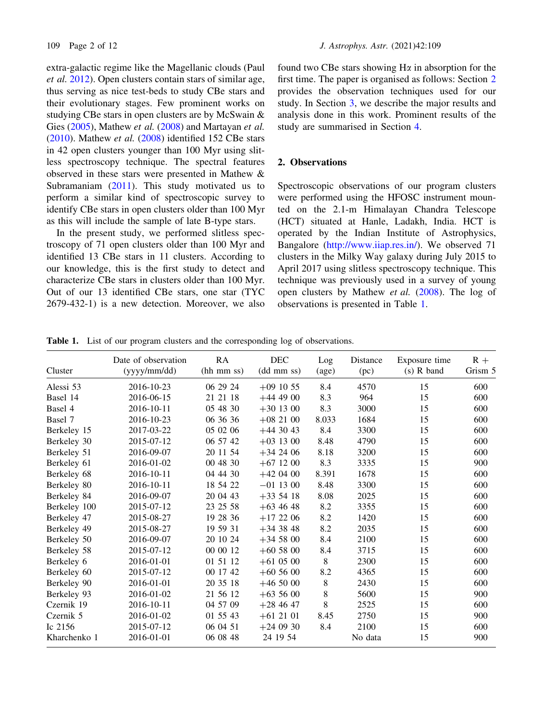extra-galactic regime like the Magellanic clouds (Paul et al. 2012). Open clusters contain stars of similar age, thus serving as nice test-beds to study CBe stars and their evolutionary stages. Few prominent works on studying CBe stars in open clusters are by McSwain & Gies (2005), Mathew et al. (2008) and Martayan et al. (2010). Mathew et al. (2008) identified 152 CBe stars in 42 open clusters younger than 100 Myr using slitless spectroscopy technique. The spectral features observed in these stars were presented in Mathew & Subramaniam (2011). This study motivated us to perform a similar kind of spectroscopic survey to identify CBe stars in open clusters older than 100 Myr as this will include the sample of late B-type stars.

In the present study, we performed slitless spectroscopy of 71 open clusters older than 100 Myr and identified 13 CBe stars in 11 clusters. According to our knowledge, this is the first study to detect and characterize CBe stars in clusters older than 100 Myr. Out of our 13 identified CBe stars, one star (TYC 2679-432-1) is a new detection. Moreover, we also found two CBe stars showing  $H\alpha$  in absorption for the first time. The paper is organised as follows: Section 2 provides the observation techniques used for our study. In Section 3, we describe the major results and analysis done in this work. Prominent results of the study are summarised in Section 4.

# 2. Observations

Spectroscopic observations of our program clusters were performed using the HFOSC instrument mounted on the 2.1-m Himalayan Chandra Telescope (HCT) situated at Hanle, Ladakh, India. HCT is operated by the Indian Institute of Astrophysics, Bangalore (http://www.iiap.res.in/). We observed 71 clusters in the Milky Way galaxy during July 2015 to April 2017 using slitless spectroscopy technique. This technique was previously used in a survey of young open clusters by Mathew et al. (2008). The log of observations is presented in Table 1.

| Cluster      | Date of observation<br>(yyy/mm/dd) | RA<br>(hh mm ss) | <b>DEC</b><br>(dd mm ss) | Log<br>$\left( \text{age} \right)$ | Distance<br>(pc) | Exposure time<br>$(s)$ R band | $R +$<br>Grism 5 |
|--------------|------------------------------------|------------------|--------------------------|------------------------------------|------------------|-------------------------------|------------------|
| Alessi 53    | 2016-10-23                         | 06 29 24         | $+09$ 10 55              | 8.4                                | 4570             | 15                            | 600              |
| Basel 14     | 2016-06-15                         | 21 21 18         | $+444900$                | 8.3                                | 964              | 15                            | 600              |
| Basel 4      | 2016-10-11                         | 05 48 30         | $+301300$                | 8.3                                | 3000             | 15                            | 600              |
| Basel 7      | 2016-10-23                         | 06 36 36         | $+082100$                | 8.033                              | 1684             | 15                            | 600              |
| Berkeley 15  | 2017-03-22                         | 05 02 06         | $+443043$                | 8.4                                | 3300             | 15                            | 600              |
| Berkeley 30  | 2015-07-12                         | 06 57 42         | $+03$ 13 00              | 8.48                               | 4790             | 15                            | 600              |
| Berkeley 51  | 2016-09-07                         | 20 11 54         | $+342406$                | 8.18                               | 3200             | 15                            | 600              |
| Berkeley 61  | 2016-01-02                         | 00 48 30         | $+67$ 12 00              | 8.3                                | 3335             | 15                            | 900              |
| Berkeley 68  | 2016-10-11                         | 04 44 30         | $+420400$                | 8.391                              | 1678             | 15                            | 600              |
| Berkeley 80  | 2016-10-11                         | 18 54 22         | $-01$ 13 00              | 8.48                               | 3300             | 15                            | 600              |
| Berkeley 84  | 2016-09-07                         | 20 04 43         | $+335418$                | 8.08                               | 2025             | 15                            | 600              |
| Berkeley 100 | 2015-07-12                         | 23 25 58         | $+634648$                | 8.2                                | 3355             | 15                            | 600              |
| Berkeley 47  | 2015-08-27                         | 19 28 36         | $+172206$                | 8.2                                | 1420             | 15                            | 600              |
| Berkeley 49  | 2015-08-27                         | 19 59 31         | $+343848$                | 8.2                                | 2035             | 15                            | 600              |
| Berkeley 50  | 2016-09-07                         | 20 10 24         | $+345800$                | 8.4                                | 2100             | 15                            | 600              |
| Berkeley 58  | 2015-07-12                         | 00 00 12         | $+605800$                | 8.4                                | 3715             | 15                            | 600              |
| Berkeley 6   | 2016-01-01                         | 01 51 12         | $+610500$                | 8                                  | 2300             | 15                            | 600              |
| Berkeley 60  | 2015-07-12                         | 00 17 42         | $+60,56,00$              | 8.2                                | 4365             | 15                            | 600              |
| Berkeley 90  | 2016-01-01                         | 20 35 18         | $+465000$                | $\,8\,$                            | 2430             | 15                            | 600              |
| Berkeley 93  | 2016-01-02                         | 21 56 12         | $+635600$                | 8                                  | 5600             | 15                            | 900              |
| Czernik 19   | 2016-10-11                         | 04 57 09         | $+284647$                | 8                                  | 2525             | 15                            | 600              |
| Czernik 5    | 2016-01-02                         | 01 55 43         | $+612101$                | 8.45                               | 2750             | 15                            | 900              |
| Ic 2156      | 2015-07-12                         | 06 04 51         | $+240930$                | 8.4                                | 2100             | 15                            | 600              |
| Kharchenko 1 | 2016-01-01                         | 06 08 48         | 24 19 54                 |                                    | No data          | 15                            | 900              |

Table 1. List of our program clusters and the corresponding log of observations.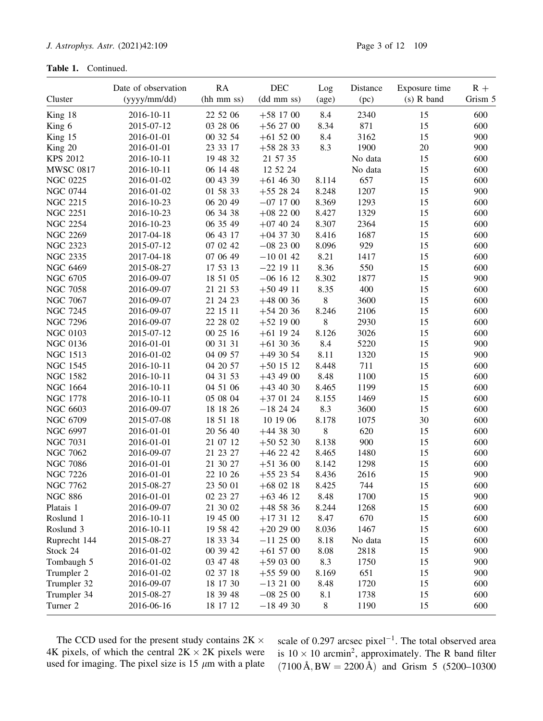|                  | Date of observation | RA         | <b>DEC</b>  | Log   | Distance | Exposure time | $R +$   |
|------------------|---------------------|------------|-------------|-------|----------|---------------|---------|
| Cluster          | (yyyy/mm/dd)        | (hh mm ss) | (dd mm ss)  | (age) | (pc)     | $(s)$ R band  | Grism 5 |
| King 18          | 2016-10-11          | 22 52 06   | $+58$ 17 00 | 8.4   | 2340     | 15            | 600     |
| King 6           | 2015-07-12          | 03 28 06   | $+562700$   | 8.34  | 871      | 15            | 600     |
| King 15          | 2016-01-01          | 00 32 54   | $+615200$   | 8.4   | 3162     | 15            | 900     |
| King 20          | 2016-01-01          | 23 33 17   | $+582833$   | 8.3   | 1900     | 20            | 900     |
| <b>KPS 2012</b>  | 2016-10-11          | 19 48 32   | 21 57 35    |       | No data  | 15            | 600     |
| <b>MWSC 0817</b> | 2016-10-11          | 06 14 48   | 12 52 24    |       | No data  | 15            | 600     |
| <b>NGC 0225</b>  | 2016-01-02          | 00 43 39   | $+614630$   | 8.114 | 657      | 15            | 600     |
| <b>NGC 0744</b>  | 2016-01-02          | 01 58 33   | $+552824$   | 8.248 | 1207     | 15            | 900     |
| <b>NGC 2215</b>  | 2016-10-23          | 06 20 49   | $-07$ 17 00 | 8.369 | 1293     | 15            | 600     |
| <b>NGC 2251</b>  | 2016-10-23          | 06 34 38   | $+082200$   | 8.427 | 1329     | 15            | 600     |
| <b>NGC 2254</b>  | 2016-10-23          | 06 35 49   | $+07$ 40 24 | 8.307 | 2364     | 15            | 600     |
| <b>NGC 2269</b>  | 2017-04-18          | 06 43 17   | $+04$ 37 30 | 8.416 | 1687     | 15            | 600     |
| <b>NGC 2323</b>  | 2015-07-12          | 07 02 42   | $-082300$   | 8.096 | 929      | 15            | 600     |
| <b>NGC 2335</b>  | 2017-04-18          | 07 06 49   | $-100142$   | 8.21  | 1417     | 15            | 600     |
| <b>NGC 6469</b>  | 2015-08-27          | 17 53 13   | $-22$ 19 11 | 8.36  | 550      | 15            | 600     |
| <b>NGC 6705</b>  | 2016-09-07          | 18 51 05   | $-06$ 16 12 | 8.302 | 1877     | 15            | 900     |
| <b>NGC 7058</b>  | 2016-09-07          | 21 21 53   | $+504911$   | 8.35  | 400      | 15            | 600     |
| <b>NGC 7067</b>  | 2016-09-07          | 21 24 23   | $+480036$   | 8     | 3600     | 15            | 600     |
| <b>NGC 7245</b>  | 2016-09-07          | 22 15 11   | $+542036$   | 8.246 | 2106     | 15            | 600     |
| <b>NGC 7296</b>  | 2016-09-07          | 22 28 02   | $+521900$   | 8     | 2930     | 15            | 600     |
| <b>NGC 0103</b>  | 2015-07-12          | 00 25 16   | $+61$ 19 24 | 8.126 | 3026     | 15            | 600     |
| <b>NGC 0136</b>  | 2016-01-01          | 00 31 31   | $+613036$   | 8.4   | 5220     | 15            | 900     |
| <b>NGC 1513</b>  | 2016-01-02          | 04 09 57   | $+493054$   | 8.11  | 1320     | 15            | 900     |
| <b>NGC 1545</b>  | 2016-10-11          | 04 20 57   | $+50$ 15 12 | 8.448 | 711      | 15            | 600     |
| <b>NGC 1582</b>  | 2016-10-11          | 04 31 53   | $+434900$   | 8.48  | 1100     | 15            | 600     |
| <b>NGC 1664</b>  | 2016-10-11          | 04 51 06   | $+434030$   | 8.465 | 1199     | 15            | 600     |
| <b>NGC 1778</b>  | 2016-10-11          | 05 08 04   | $+370124$   | 8.155 | 1469     | 15            | 600     |
| <b>NGC 6603</b>  | 2016-09-07          | 18 18 26   | $-182424$   | 8.3   | 3600     | 15            | 600     |
| <b>NGC 6709</b>  | 2015-07-08          | 18 51 18   | 10 19 06    | 8.178 | 1075     | 30            | 600     |
| <b>NGC 6997</b>  | 2016-01-01          | 20 56 40   | $+443830$   | 8     | 620      | 15            | 600     |
| <b>NGC 7031</b>  | 2016-01-01          | 21 07 12   | $+505230$   | 8.138 | 900      | 15            | 600     |
| <b>NGC 7062</b>  | 2016-09-07          | 21 23 27   | $+46$ 22 42 | 8.465 | 1480     | 15            | 600     |
| <b>NGC 7086</b>  | 2016-01-01          | 21 30 27   | $+513600$   | 8.142 | 1298     | 15            | 600     |
| <b>NGC 7226</b>  | 2016-01-01          | 22 10 26   | $+55$ 23 54 | 8.436 | 2616     | 15            | 900     |
| <b>NGC 7762</b>  | 2015-08-27          | 23 50 01   | $+68$ 02 18 | 8.425 | 744      | 15            | 600     |
| <b>NGC 886</b>   | 2016-01-01          | 02 23 27   | $+634612$   | 8.48  | 1700     | 15            | 900     |
| Platais 1        | 2016-09-07          | 21 30 02   | $+485836$   | 8.244 | 1268     | 15            | 600     |
| Roslund 1        | 2016-10-11          | 19 45 00   | $+173112$   | 8.47  | 670      | 15            | 600     |
| Roslund 3        | 2016-10-11          | 19 58 42   | $+202900$   | 8.036 | 1467     | 15            | 600     |
| Ruprecht 144     | 2015-08-27          | 18 33 34   | $-112500$   | 8.18  | No data  | 15            | 600     |
| Stock 24         | 2016-01-02          | 00 39 42   | $+615700$   | 8.08  | 2818     | 15            | 900     |
| Tombaugh 5       | 2016-01-02          | 03 47 48   | $+590300$   | 8.3   | 1750     | 15            | 900     |
| Trumpler 2       | 2016-01-02          | 02 37 18   | $+555900$   | 8.169 | 651      | 15            | 900     |
| Trumpler 32      | 2016-09-07          | 18 17 30   | $-132100$   | 8.48  | 1720     | 15            | 600     |
| Trumpler 34      | 2015-08-27          | 18 39 48   | $-082500$   | 8.1   | 1738     | 15            | 600     |
| Turner 2         | 2016-06-16          | 18 17 12   | $-184930$   | 8     | 1190     | 15            | 600     |

The CCD used for the present study contains  $2K \times$ 4K pixels, of which the central  $2K \times 2K$  pixels were used for imaging. The pixel size is 15  $\mu$ m with a plate

scale of 0.297 arcsec pixel<sup>-1</sup>. The total observed area is  $10 \times 10$  arcmin<sup>2</sup>, approximately. The R band filter  $(7100 \text{ Å}, BW = 2200 \text{ Å})$  and Grism 5 (5200–10300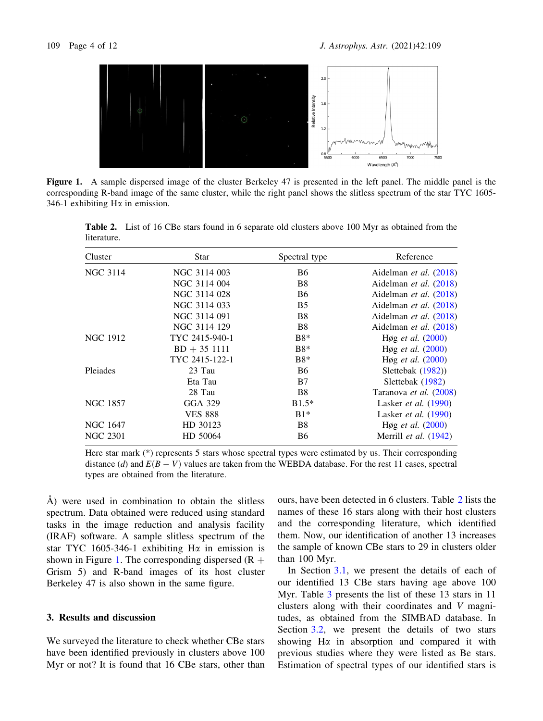

Figure 1. A sample dispersed image of the cluster Berkeley 47 is presented in the left panel. The middle panel is the corresponding R-band image of the same cluster, while the right panel shows the slitless spectrum of the star TYC 1605- 346-1 exhibiting  $H\alpha$  in emission.

| Cluster         | Star           | Spectral type  | Reference                      |
|-----------------|----------------|----------------|--------------------------------|
| <b>NGC 3114</b> | NGC 3114 003   | <b>B6</b>      | Aidelman et al. (2018)         |
|                 | NGC 3114 004   | B8             | Aidelman et al. (2018)         |
|                 | NGC 3114 028   | <b>B6</b>      | Aidelman et al. (2018)         |
|                 | NGC 3114 033   | <b>B5</b>      | Aidelman et al. (2018)         |
|                 | NGC 3114 091   | <b>B8</b>      | Aidelman et al. (2018)         |
|                 | NGC 3114 129   | B <sub>8</sub> | Aidelman et al. (2018)         |
| NGC 1912        | TYC 2415-940-1 | $B8*$          | Høg et al. (2000)              |
|                 | $BD + 351111$  | $B8*$          | Høg et al. $(2000)$            |
|                 | TYC 2415-122-1 | $B8*$          | Høg <i>et al.</i> $(2000)$     |
| Pleiades        | 23 Tau         | <b>B6</b>      | Slettebak (1982))              |
|                 | Eta Tau        | B7             | Slettebak (1982)               |
|                 | 28 Tau         | B <sub>8</sub> | Taranova et al. (2008)         |
| NGC 1857        | GGA 329        | $B1.5*$        | Lasker <i>et al.</i> $(1990)$  |
|                 | <b>VES 888</b> | $B1*$          | Lasker <i>et al.</i> $(1990)$  |
| NGC 1647        | HD 30123       | B <sub>8</sub> | Høg <i>et al.</i> $(2000)$     |
| <b>NGC 2301</b> | HD 50064       | <b>B6</b>      | Merrill <i>et al.</i> $(1942)$ |

Table 2. List of 16 CBe stars found in 6 separate old clusters above 100 Myr as obtained from the literature.

Here star mark (\*) represents 5 stars whose spectral types were estimated by us. Their corresponding distance (d) and  $E(B - V)$  values are taken from the WEBDA database. For the rest 11 cases, spectral types are obtained from the literature.

 $\AA$ ) were used in combination to obtain the slitless spectrum. Data obtained were reduced using standard tasks in the image reduction and analysis facility (IRAF) software. A sample slitless spectrum of the star TYC 1605-346-1 exhibiting H $\alpha$  in emission is shown in Figure 1. The corresponding dispersed  $(R +$ Grism 5) and R-band images of its host cluster Berkeley 47 is also shown in the same figure.

### 3. Results and discussion

We surveyed the literature to check whether CBe stars have been identified previously in clusters above 100 Myr or not? It is found that 16 CBe stars, other than ours, have been detected in 6 clusters. Table 2 lists the names of these 16 stars along with their host clusters and the corresponding literature, which identified them. Now, our identification of another 13 increases the sample of known CBe stars to 29 in clusters older than 100 Myr.

In Section 3.1, we present the details of each of our identified 13 CBe stars having age above 100 Myr. Table 3 presents the list of these 13 stars in 11 clusters along with their coordinates and V magnitudes, as obtained from the SIMBAD database. In Section 3.2, we present the details of two stars showing  $H\alpha$  in absorption and compared it with previous studies where they were listed as Be stars. Estimation of spectral types of our identified stars is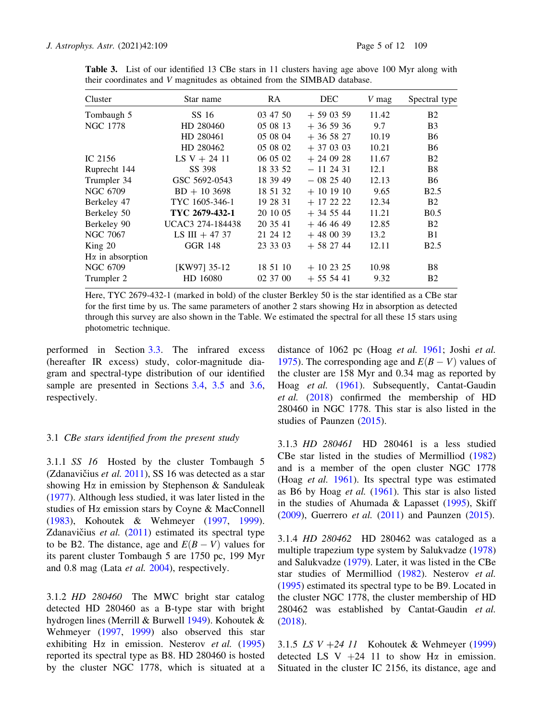| Cluster                 | Star name        | RA.      | <b>DEC</b> | V mag | Spectral type    |
|-------------------------|------------------|----------|------------|-------|------------------|
| Tombaugh 5              | SS 16            | 03 47 50 | $+590359$  | 11.42 | <b>B2</b>        |
| <b>NGC 1778</b>         | HD 280460        | 05 08 13 | $+365936$  | 9.7   | B <sub>3</sub>   |
|                         | HD 280461        | 05 08 04 | $+365827$  | 10.19 | <b>B6</b>        |
|                         | HD 280462        | 05 08 02 | $+370303$  | 10.21 | <b>B6</b>        |
| IC 2156                 | $LS V + 24 11$   | 06 05 02 | $+240928$  | 11.67 | B <sub>2</sub>   |
| Ruprecht 144            | SS 398           | 18 33 52 | $-112431$  | 12.1  | B <sup>8</sup>   |
| Trumpler 34             | GSC 5692-0543    | 18 39 49 | $-082540$  | 12.13 | <b>B6</b>        |
| NGC 6709                | $BD + 103698$    | 18 51 32 | $+101910$  | 9.65  | <b>B2.5</b>      |
| Berkeley 47             | TYC 1605-346-1   | 19 28 31 | $+ 17222$  | 12.34 | B <sub>2</sub>   |
| Berkeley 50             | TYC 2679-432-1   | 20 10 05 | $+345544$  | 11.21 | B <sub>0.5</sub> |
| Berkeley 90             | UCAC3 274-184438 | 20 35 41 | $+464649$  | 12.85 | <b>B2</b>        |
| <b>NGC 7067</b>         | LS III + 47 37   | 21 24 12 | $+480039$  | 13.2  | B <sub>1</sub>   |
| King 20                 | <b>GGR 148</b>   | 23 33 03 | $+582744$  | 12.11 | <b>B2.5</b>      |
| $H\alpha$ in absorption |                  |          |            |       |                  |
| <b>NGC 6709</b>         | [KW97] 35-12     | 18 51 10 | $+102325$  | 10.98 | B8               |
| Trumpler 2              | HD 16080         | 02 37 00 | $+555441$  | 9.32  | <b>B2</b>        |

Table 3. List of our identified 13 CBe stars in 11 clusters having age above 100 Myr along with their coordinates and V magnitudes as obtained from the SIMBAD database.

Here, TYC 2679-432-1 (marked in bold) of the cluster Berkley 50 is the star identified as a CBe star for the first time by us. The same parameters of another 2 stars showing  $H\alpha$  in absorption as detected through this survey are also shown in the Table. We estimated the spectral for all these 15 stars using photometric technique.

performed in Section 3.3. The infrared excess (hereafter IR excess) study, color-magnitude diagram and spectral-type distribution of our identified sample are presented in Sections 3.4, 3.5 and 3.6, respectively.

## 3.1 CBe stars identified from the present study

3.1.1 SS 16 Hosted by the cluster Tombaugh 5 (Zdanavičius et al.  $2011$ ), SS 16 was detected as a star showing  $H\alpha$  in emission by Stephenson & Sanduleak (1977). Although less studied, it was later listed in the studies of Ha emission stars by Coyne & MacConnell (1983), Kohoutek & Wehmeyer (1997, 1999). Zdanavičius *et al.*  $(2011)$  estimated its spectral type to be B2. The distance, age and  $E(B - V)$  values for its parent cluster Tombaugh 5 are 1750 pc, 199 Myr and 0.8 mag (Lata et al. 2004), respectively.

3.1.2 HD 280460 The MWC bright star catalog detected HD 280460 as a B-type star with bright hydrogen lines (Merrill & Burwell 1949). Kohoutek & Wehmeyer (1997, 1999) also observed this star exhibiting H $\alpha$  in emission. Nesterov *et al.* (1995) reported its spectral type as B8. HD 280460 is hosted by the cluster NGC 1778, which is situated at a distance of 1062 pc (Hoag et al. 1961; Joshi et al. 1975). The corresponding age and  $E(B - V)$  values of the cluster are 158 Myr and 0.34 mag as reported by Hoag et al. (1961). Subsequently, Cantat-Gaudin et al. (2018) confirmed the membership of HD 280460 in NGC 1778. This star is also listed in the studies of Paunzen (2015).

3.1.3 HD 280461 HD 280461 is a less studied CBe star listed in the studies of Mermilliod (1982) and is a member of the open cluster NGC 1778 (Hoag et al. 1961). Its spectral type was estimated as B6 by Hoag et al. (1961). This star is also listed in the studies of Ahumada & Lapasset  $(1995)$ , Skiff (2009), Guerrero *et al.* (2011) and Paunzen (2015).

3.1.4 HD 280462 HD 280462 was cataloged as a multiple trapezium type system by Salukvadze (1978) and Salukvadze (1979). Later, it was listed in the CBe star studies of Mermilliod (1982). Nesterov et al. (1995) estimated its spectral type to be B9. Located in the cluster NGC 1778, the cluster membership of HD 280462 was established by Cantat-Gaudin et al. (2018).

3.1.5 LS  $V + 24$  11 Kohoutek & Wehmeyer (1999) detected LS V  $+24$  11 to show H $\alpha$  in emission. Situated in the cluster IC 2156, its distance, age and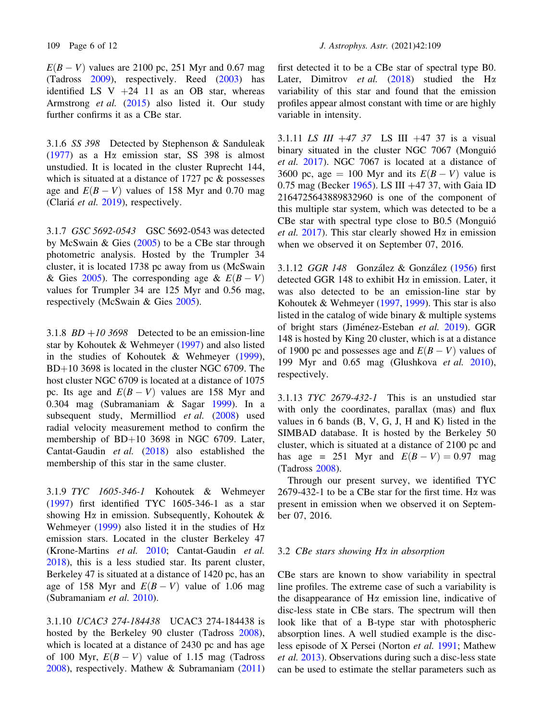$E(B - V)$  values are 2100 pc, 251 Myr and 0.67 mag (Tadross 2009), respectively. Reed (2003) has identified LS V  $+24$  11 as an OB star, whereas Armstrong et al. (2015) also listed it. Our study further confirms it as a CBe star.

3.1.6 SS 398 Detected by Stephenson & Sanduleak (1977) as a H $\alpha$  emission star, SS 398 is almost unstudied. It is located in the cluster Ruprecht 144, which is situated at a distance of  $1727$  pc  $\&$  possesses age and  $E(B - V)$  values of 158 Myr and 0.70 mag (Clariá et al. 2019), respectively.

3.1.7 GSC 5692-0543 GSC 5692-0543 was detected by McSwain & Gies (2005) to be a CBe star through photometric analysis. Hosted by the Trumpler 34 cluster, it is located 1738 pc away from us (McSwain & Gies 2005). The corresponding age &  $E(B-V)$ values for Trumpler 34 are 125 Myr and 0.56 mag, respectively (McSwain & Gies 2005).

3.1.8  $BD + 103698$  Detected to be an emission-line star by Kohoutek & Wehmeyer (1997) and also listed in the studies of Kohoutek & Wehmeyer (1999),  $BD+10$  3698 is located in the cluster NGC 6709. The host cluster NGC 6709 is located at a distance of 1075 pc. Its age and  $E(B - V)$  values are 158 Myr and 0.304 mag (Subramaniam & Sagar 1999). In a subsequent study, Mermilliod et al. (2008) used radial velocity measurement method to confirm the membership of  $BD+10$  3698 in NGC 6709. Later, Cantat-Gaudin et al. (2018) also established the membership of this star in the same cluster.

3.1.9 TYC 1605-346-1 Kohoutek & Wehmeyer (1997) first identified TYC 1605-346-1 as a star showing H $\alpha$  in emission. Subsequently, Kohoutek & Wehmeyer (1999) also listed it in the studies of  $H\alpha$ emission stars. Located in the cluster Berkeley 47 (Krone-Martins et al. 2010; Cantat-Gaudin et al. 2018), this is a less studied star. Its parent cluster, Berkeley 47 is situated at a distance of 1420 pc, has an age of 158 Myr and  $E(B - V)$  value of 1.06 mag (Subramaniam et al. 2010).

3.1.10 UCAC3 274-184438 UCAC3 274-184438 is hosted by the Berkeley 90 cluster (Tadross 2008), which is located at a distance of 2430 pc and has age of 100 Myr,  $E(B - V)$  value of 1.15 mag (Tadross 2008), respectively. Mathew & Subramaniam (2011)

first detected it to be a CBe star of spectral type B0. Later, Dimitrov et al.  $(2018)$  studied the H $\alpha$ variability of this star and found that the emission profiles appear almost constant with time or are highly variable in intensity.

3.1.11 LS III  $+47$  37 LS III  $+47$  37 is a visual binary situated in the cluster NGC 7067 (Monguió et al. 2017). NGC 7067 is located at a distance of 3600 pc, age = 100 Myr and its  $E(B - V)$  value is 0.75 mag (Becker 1965). LS III  $+47$  37, with Gaia ID 2164725643889832960 is one of the component of this multiple star system, which was detected to be a CBe star with spectral type close to B0.5 (Monguio´ et al. 2017). This star clearly showed H $\alpha$  in emission when we observed it on September 07, 2016.

3.1.12 GGR  $148$  González & González (1956) first detected GGR 148 to exhibit  $H\alpha$  in emission. Later, it was also detected to be an emission-line star by Kohoutek & Wehmeyer (1997, 1999). This star is also listed in the catalog of wide binary & multiple systems of bright stars (Jiménez-Esteban et al. 2019). GGR 148 is hosted by King 20 cluster, which is at a distance of 1900 pc and possesses age and  $E(B - V)$  values of 199 Myr and 0.65 mag (Glushkova et al. 2010), respectively.

3.1.13 TYC 2679-432-1 This is an unstudied star with only the coordinates, parallax (mas) and flux values in 6 bands (B, V, G, J, H and K) listed in the SIMBAD database. It is hosted by the Berkeley 50 cluster, which is situated at a distance of 2100 pc and has age = 251 Myr and  $E(B - V) = 0.97$  mag (Tadross 2008).

Through our present survey, we identified TYC 2679-432-1 to be a CBe star for the first time. Ha was present in emission when we observed it on September 07, 2016.

#### 3.2 CBe stars showing Ha in absorption

CBe stars are known to show variability in spectral line profiles. The extreme case of such a variability is the disappearance of  $H\alpha$  emission line, indicative of disc-less state in CBe stars. The spectrum will then look like that of a B-type star with photospheric absorption lines. A well studied example is the discless episode of X Persei (Norton et al. 1991; Mathew et al. 2013). Observations during such a disc-less state can be used to estimate the stellar parameters such as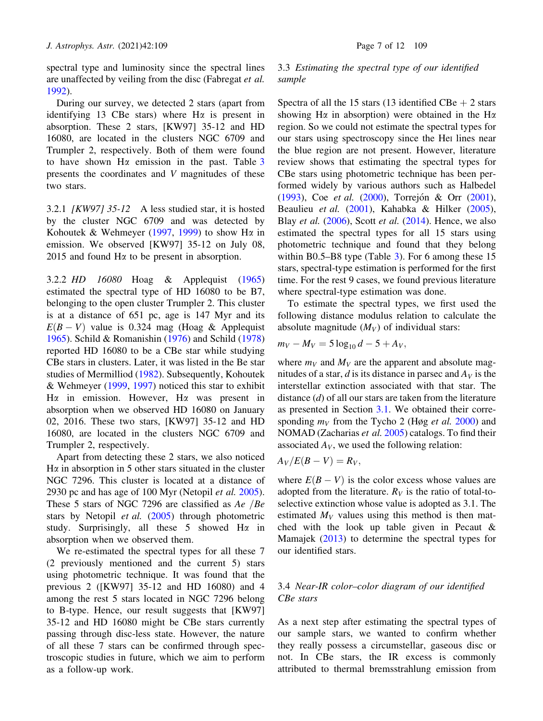spectral type and luminosity since the spectral lines are unaffected by veiling from the disc (Fabregat et al. 1992).

During our survey, we detected 2 stars (apart from identifying 13 CBe stars) where  $H\alpha$  is present in absorption. These 2 stars, [KW97] 35-12 and HD 16080, are located in the clusters NGC 6709 and Trumpler 2, respectively. Both of them were found to have shown  $H\alpha$  emission in the past. Table 3 presents the coordinates and V magnitudes of these two stars.

3.2.1 [KW97] 35-12 A less studied star, it is hosted by the cluster NGC 6709 and was detected by Kohoutek & Wehmeyer (1997, 1999) to show H $\alpha$  in emission. We observed [KW97] 35-12 on July 08, 2015 and found  $H\alpha$  to be present in absorption.

3.2.2 HD 16080 Hoag & Applequist (1965) estimated the spectral type of HD 16080 to be B7, belonging to the open cluster Trumpler 2. This cluster is at a distance of 651 pc, age is 147 Myr and its  $E(B-V)$  value is 0.324 mag (Hoag & Applequist 1965). Schild & Romanishin (1976) and Schild (1978) reported HD 16080 to be a CBe star while studying CBe stars in clusters. Later, it was listed in the Be star studies of Mermilliod (1982). Subsequently, Kohoutek & Wehmeyer (1999, 1997) noticed this star to exhibit H $\alpha$  in emission. However, H $\alpha$  was present in absorption when we observed HD 16080 on January 02, 2016. These two stars, [KW97] 35-12 and HD 16080, are located in the clusters NGC 6709 and Trumpler 2, respectively.

Apart from detecting these 2 stars, we also noticed  $H\alpha$  in absorption in 5 other stars situated in the cluster NGC 7296. This cluster is located at a distance of 2930 pc and has age of 100 Myr (Netopil *et al.* 2005). These 5 stars of NGC 7296 are classified as  $Ae$  /Be stars by Netopil *et al.* (2005) through photometric study. Surprisingly, all these 5 showed  $H\alpha$  in absorption when we observed them.

We re-estimated the spectral types for all these 7 (2 previously mentioned and the current 5) stars using photometric technique. It was found that the previous 2 ([KW97] 35-12 and HD 16080) and 4 among the rest 5 stars located in NGC 7296 belong to B-type. Hence, our result suggests that [KW97] 35-12 and HD 16080 might be CBe stars currently passing through disc-less state. However, the nature of all these 7 stars can be confirmed through spectroscopic studies in future, which we aim to perform as a follow-up work.

# 3.3 Estimating the spectral type of our identified sample

Spectra of all the 15 stars (13 identified  $CBe + 2$  stars showing H $\alpha$  in absorption) were obtained in the H $\alpha$ region. So we could not estimate the spectral types for our stars using spectroscopy since the HeI lines near the blue region are not present. However, literature review shows that estimating the spectral types for CBe stars using photometric technique has been performed widely by various authors such as Halbedel (1993), Coe et al. (2000), Torrejón & Orr (2001), Beaulieu et al. (2001), Kahabka & Hilker (2005), Blay et al.  $(2006)$ , Scott et al.  $(2014)$ . Hence, we also estimated the spectral types for all 15 stars using photometric technique and found that they belong within B0.5–B8 type (Table 3). For 6 among these 15 stars, spectral-type estimation is performed for the first time. For the rest 9 cases, we found previous literature where spectral-type estimation was done.

To estimate the spectral types, we first used the following distance modulus relation to calculate the absolute magnitude  $(M_V)$  of individual stars:

$$
m_V - M_V = 5 \log_{10} d - 5 + A_V,
$$

where  $m_V$  and  $M_V$  are the apparent and absolute magnitudes of a star, d is its distance in parsec and  $A_V$  is the interstellar extinction associated with that star. The distance  $(d)$  of all our stars are taken from the literature as presented in Section 3.1. We obtained their corresponding  $m_V$  from the Tycho 2 (Høg *et al.* 2000) and NOMAD (Zacharias et al. 2005) catalogs. To find their associated  $A_V$ , we used the following relation:

$$
A_V/E(B-V)=R_V,
$$

where  $E(B - V)$  is the color excess whose values are adopted from the literature.  $R_V$  is the ratio of total-toselective extinction whose value is adopted as 3.1. The estimated  $M_V$  values using this method is then matched with the look up table given in Pecaut & Mamajek (2013) to determine the spectral types for our identified stars.

# 3.4 Near-IR color–color diagram of our identified CBe stars

As a next step after estimating the spectral types of our sample stars, we wanted to confirm whether they really possess a circumstellar, gaseous disc or not. In CBe stars, the IR excess is commonly attributed to thermal bremsstrahlung emission from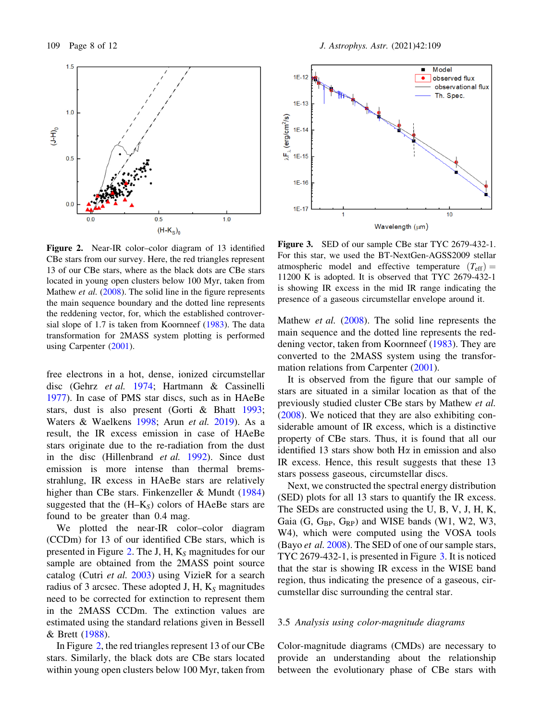

Figure 2. Near-IR color–color diagram of 13 identified CBe stars from our survey. Here, the red triangles represent 13 of our CBe stars, where as the black dots are CBe stars located in young open clusters below 100 Myr, taken from Mathew *et al.* (2008). The solid line in the figure represents the main sequence boundary and the dotted line represents the reddening vector, for, which the established controversial slope of 1.7 is taken from Koornneef (1983). The data transformation for 2MASS system plotting is performed using Carpenter (2001).

free electrons in a hot, dense, ionized circumstellar disc (Gehrz et al. 1974; Hartmann & Cassinelli 1977). In case of PMS star discs, such as in HAeBe stars, dust is also present (Gorti & Bhatt 1993; Waters & Waelkens 1998; Arun et al. 2019). As a result, the IR excess emission in case of HAeBe stars originate due to the re-radiation from the dust in the disc (Hillenbrand et al. 1992). Since dust emission is more intense than thermal bremsstrahlung, IR excess in HAeBe stars are relatively higher than CBe stars. Finkenzeller & Mundt (1984) suggested that the  $(H-K<sub>S</sub>)$  colors of HAeBe stars are found to be greater than 0.4 mag.

We plotted the near-IR color–color diagram (CCDm) for 13 of our identified CBe stars, which is presented in Figure 2. The J, H,  $K_S$  magnitudes for our sample are obtained from the 2MASS point source catalog (Cutri et al. 2003) using VizieR for a search radius of 3 arcsec. These adopted J, H,  $K<sub>S</sub>$  magnitudes need to be corrected for extinction to represent them in the 2MASS CCDm. The extinction values are estimated using the standard relations given in Bessell & Brett (1988).

In Figure 2, the red triangles represent 13 of our CBe stars. Similarly, the black dots are CBe stars located within young open clusters below 100 Myr, taken from



Figure 3. SED of our sample CBe star TYC 2679-432-1. For this star, we used the BT-NextGen-AGSS2009 stellar atmospheric model and effective temperature  $(T_{\text{eff}})$  = 11200 K is adopted. It is observed that TYC 2679-432-1 is showing IR excess in the mid IR range indicating the presence of a gaseous circumstellar envelope around it.

Mathew *et al.* (2008). The solid line represents the main sequence and the dotted line represents the reddening vector, taken from Koornneef (1983). They are converted to the 2MASS system using the transformation relations from Carpenter (2001).

It is observed from the figure that our sample of stars are situated in a similar location as that of the previously studied cluster CBe stars by Mathew et al. (2008). We noticed that they are also exhibiting considerable amount of IR excess, which is a distinctive property of CBe stars. Thus, it is found that all our identified 13 stars show both  $H\alpha$  in emission and also IR excess. Hence, this result suggests that these 13 stars possess gaseous, circumstellar discs.

Next, we constructed the spectral energy distribution (SED) plots for all 13 stars to quantify the IR excess. The SEDs are constructed using the U, B, V, J, H, K, Gaia  $(G, G_{BP}, G_{RP})$  and WISE bands  $(W1, W2, W3,$ W4), which were computed using the VOSA tools (Bayo *et al.*  $2008$ ). The SED of one of our sample stars, TYC 2679-432-1, is presented in Figure 3. It is noticed that the star is showing IR excess in the WISE band region, thus indicating the presence of a gaseous, circumstellar disc surrounding the central star.

#### 3.5 Analysis using color-magnitude diagrams

Color-magnitude diagrams (CMDs) are necessary to provide an understanding about the relationship between the evolutionary phase of CBe stars with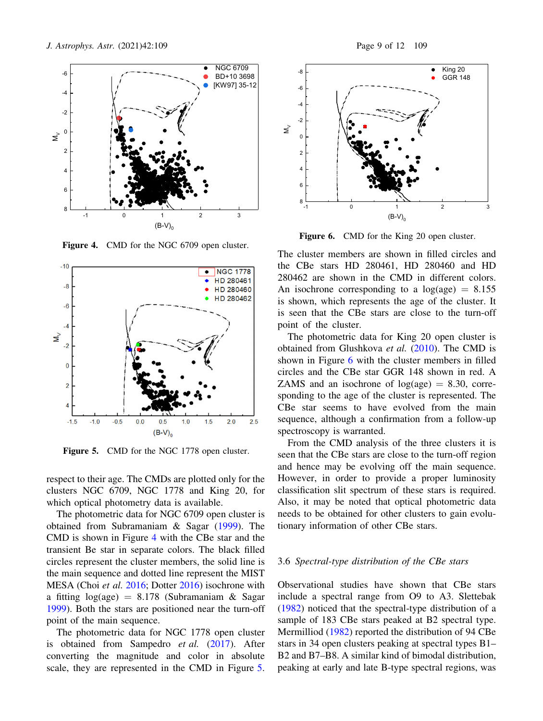

Figure 4. CMD for the NGC 6709 open cluster.



Figure 5. CMD for the NGC 1778 open cluster.

respect to their age. The CMDs are plotted only for the clusters NGC 6709, NGC 1778 and King 20, for which optical photometry data is available.

The photometric data for NGC 6709 open cluster is obtained from Subramaniam & Sagar (1999). The CMD is shown in Figure 4 with the CBe star and the transient Be star in separate colors. The black filled circles represent the cluster members, the solid line is the main sequence and dotted line represent the MIST MESA (Choi et al. 2016; Dotter 2016) isochrone with a fitting  $log(age) = 8.178$  (Subramaniam & Sagar 1999). Both the stars are positioned near the turn-off point of the main sequence.

The photometric data for NGC 1778 open cluster is obtained from Sampedro et al. (2017). After converting the magnitude and color in absolute scale, they are represented in the CMD in Figure 5.



Figure 6. CMD for the King 20 open cluster.

The cluster members are shown in filled circles and the CBe stars HD 280461, HD 280460 and HD 280462 are shown in the CMD in different colors. An isochrone corresponding to a  $log(age) = 8.155$ is shown, which represents the age of the cluster. It is seen that the CBe stars are close to the turn-off point of the cluster.

The photometric data for King 20 open cluster is obtained from Glushkova et al. (2010). The CMD is shown in Figure 6 with the cluster members in filled circles and the CBe star GGR 148 shown in red. A ZAMS and an isochrone of  $log(age) = 8.30$ , corresponding to the age of the cluster is represented. The CBe star seems to have evolved from the main sequence, although a confirmation from a follow-up spectroscopy is warranted.

From the CMD analysis of the three clusters it is seen that the CBe stars are close to the turn-off region and hence may be evolving off the main sequence. However, in order to provide a proper luminosity classification slit spectrum of these stars is required. Also, it may be noted that optical photometric data needs to be obtained for other clusters to gain evolutionary information of other CBe stars.

### 3.6 Spectral-type distribution of the CBe stars

Observational studies have shown that CBe stars include a spectral range from O9 to A3. Slettebak (1982) noticed that the spectral-type distribution of a sample of 183 CBe stars peaked at B2 spectral type. Mermilliod (1982) reported the distribution of 94 CBe stars in 34 open clusters peaking at spectral types B1– B2 and B7–B8. A similar kind of bimodal distribution, peaking at early and late B-type spectral regions, was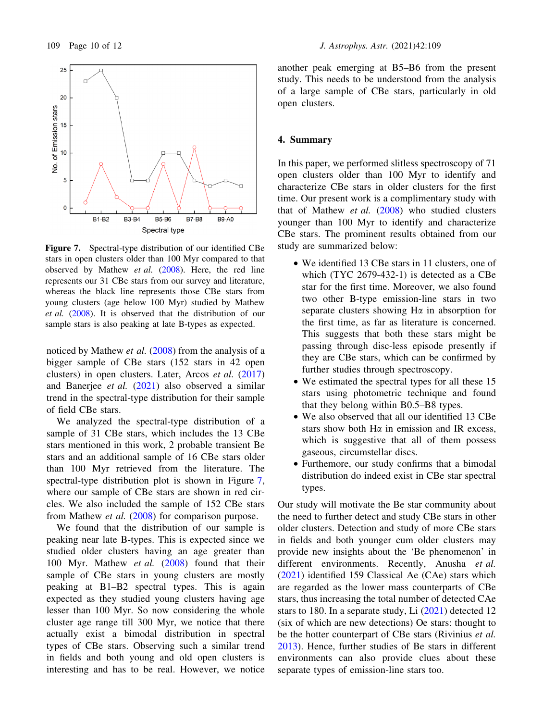

Figure 7. Spectral-type distribution of our identified CBe stars in open clusters older than 100 Myr compared to that observed by Mathew et al. (2008). Here, the red line represents our 31 CBe stars from our survey and literature, whereas the black line represents those CBe stars from young clusters (age below 100 Myr) studied by Mathew et al. (2008). It is observed that the distribution of our sample stars is also peaking at late B-types as expected.

noticed by Mathew *et al.* (2008) from the analysis of a bigger sample of CBe stars (152 stars in 42 open clusters) in open clusters. Later, Arcos et al. (2017) and Banerjee et al. (2021) also observed a similar trend in the spectral-type distribution for their sample of field CBe stars.

We analyzed the spectral-type distribution of a sample of 31 CBe stars, which includes the 13 CBe stars mentioned in this work, 2 probable transient Be stars and an additional sample of 16 CBe stars older than 100 Myr retrieved from the literature. The spectral-type distribution plot is shown in Figure 7, where our sample of CBe stars are shown in red circles. We also included the sample of 152 CBe stars from Mathew et al. (2008) for comparison purpose.

We found that the distribution of our sample is peaking near late B-types. This is expected since we studied older clusters having an age greater than 100 Myr. Mathew et al. (2008) found that their sample of CBe stars in young clusters are mostly peaking at B1–B2 spectral types. This is again expected as they studied young clusters having age lesser than 100 Myr. So now considering the whole cluster age range till 300 Myr, we notice that there actually exist a bimodal distribution in spectral types of CBe stars. Observing such a similar trend in fields and both young and old open clusters is interesting and has to be real. However, we notice another peak emerging at B5–B6 from the present study. This needs to be understood from the analysis of a large sample of CBe stars, particularly in old open clusters.

### 4. Summary

In this paper, we performed slitless spectroscopy of 71 open clusters older than 100 Myr to identify and characterize CBe stars in older clusters for the first time. Our present work is a complimentary study with that of Mathew *et al.*  $(2008)$  who studied clusters younger than 100 Myr to identify and characterize CBe stars. The prominent results obtained from our study are summarized below:

- We identified 13 CBe stars in 11 clusters, one of which (TYC 2679-432-1) is detected as a CBe star for the first time. Moreover, we also found two other B-type emission-line stars in two separate clusters showing  $H\alpha$  in absorption for the first time, as far as literature is concerned. This suggests that both these stars might be passing through disc-less episode presently if they are CBe stars, which can be confirmed by further studies through spectroscopy.
- We estimated the spectral types for all these 15 stars using photometric technique and found that they belong within B0.5–B8 types.
- We also observed that all our identified 13 CBe stars show both  $H\alpha$  in emission and IR excess, which is suggestive that all of them possess gaseous, circumstellar discs.
- Furthemore, our study confirms that a bimodal distribution do indeed exist in CBe star spectral types.

Our study will motivate the Be star community about the need to further detect and study CBe stars in other older clusters. Detection and study of more CBe stars in fields and both younger cum older clusters may provide new insights about the 'Be phenomenon' in different environments. Recently, Anusha et al. (2021) identified 159 Classical Ae (CAe) stars which are regarded as the lower mass counterparts of CBe stars, thus increasing the total number of detected CAe stars to 180. In a separate study, Li  $(2021)$  detected 12 (six of which are new detections) Oe stars: thought to be the hotter counterpart of CBe stars (Rivinius *et al.*) 2013). Hence, further studies of Be stars in different environments can also provide clues about these separate types of emission-line stars too.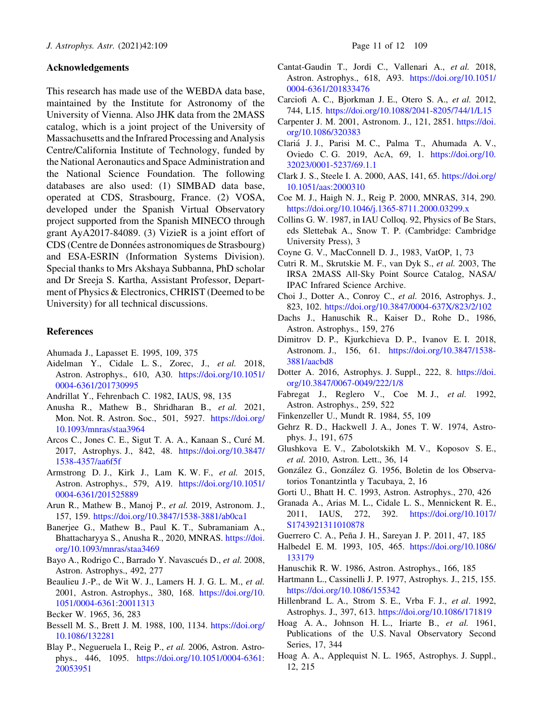## Acknowledgements

This research has made use of the WEBDA data base, maintained by the Institute for Astronomy of the University of Vienna. Also JHK data from the 2MASS catalog, which is a joint project of the University of Massachusetts and the Infrared Processing and Analysis Centre/California Institute of Technology, funded by the National Aeronautics and Space Administration and the National Science Foundation. The following databases are also used: (1) SIMBAD data base, operated at CDS, Strasbourg, France. (2) VOSA, developed under the Spanish Virtual Observatory project supported from the Spanish MINECO through grant AyA2017-84089. (3) VizieR is a joint effort of CDS (Centre de Données astronomiques de Strasbourg) and ESA-ESRIN (Information Systems Division). Special thanks to Mrs Akshaya Subbanna, PhD scholar and Dr Sreeja S. Kartha, Assistant Professor, Department of Physics & Electronics, CHRIST (Deemed to be University) for all technical discussions.

#### **References**

- Ahumada J., Lapasset E. 1995, 109, 375
- Aidelman Y., Cidale L. S., Zorec, J., et al. 2018, Astron. Astrophys., 610, A30. https://doi.org/10.1051/ 0004-6361/201730995
- Andrillat Y., Fehrenbach C. 1982, IAUS, 98, 135
- Anusha R., Mathew B., Shridharan B., et al. 2021, Mon. Not. R. Astron. Soc., 501, 5927. https://doi.org/ 10.1093/mnras/staa3964
- Arcos C., Jones C. E., Sigut T. A. A., Kanaan S., Curé M. 2017, Astrophys. J., 842, 48. https://doi.org/10.3847/ 1538-4357/aa6f5f
- Armstrong D. J., Kirk J., Lam K. W. F., et al. 2015, Astron. Astrophys., 579, A19. https://doi.org/10.1051/ 0004-6361/201525889
- Arun R., Mathew B., Manoj P., et al. 2019, Astronom. J., 157, 159. https://doi.org/10.3847/1538-3881/ab0ca1
- Banerjee G., Mathew B., Paul K. T., Subramaniam A., Bhattacharyya S., Anusha R., 2020, MNRAS. https://doi. org/10.1093/mnras/staa3469
- Bayo A., Rodrigo C., Barrado Y. Navascués D., et al. 2008, Astron. Astrophys., 492, 277
- Beaulieu J.-P., de Wit W. J., Lamers H. J. G. L. M., et al. 2001, Astron. Astrophys., 380, 168. https://doi.org/10. 1051/0004-6361:20011313
- Becker W. 1965, 36, 283
- Bessell M. S., Brett J. M. 1988, 100, 1134. https://doi.org/ 10.1086/132281
- Blay P., Negueruela I., Reig P., et al. 2006, Astron. Astrophys., 446, 1095. https://doi.org/10.1051/0004-6361: 20053951
- Cantat-Gaudin T., Jordi C., Vallenari A., et al. 2018, Astron. Astrophys., 618, A93. https://doi.org/10.1051/ 0004-6361/201833476
- Carciofi A. C., Bjorkman J. E., Otero S. A., et al. 2012, 744, L15. https://doi.org/10.1088/2041-8205/744/1/L15
- Carpenter J. M. 2001, Astronom. J., 121, 2851. https://doi. org/10.1086/320383
- Claria´ J. J., Parisi M. C., Palma T., Ahumada A. V., Oviedo C. G. 2019, AcA, 69, 1. https://doi.org/10. 32023/0001-5237/69.1.1
- Clark J. S., Steele I. A. 2000, AAS, 141, 65. https://doi.org/ 10.1051/aas:2000310
- Coe M. J., Haigh N. J., Reig P. 2000, MNRAS, 314, 290. https://doi.org/10.1046/j.1365-8711.2000.03299.x
- Collins G. W. 1987, in IAU Colloq. 92, Physics of Be Stars, eds Slettebak A., Snow T. P. (Cambridge: Cambridge University Press), 3
- Coyne G. V., MacConnell D. J., 1983, VatOP, 1, 73
- Cutri R. M., Skrutskie M. F., van Dyk S., et al. 2003, The IRSA 2MASS All-Sky Point Source Catalog, NASA/ IPAC Infrared Science Archive.
- Choi J., Dotter A., Conroy C., et al. 2016, Astrophys. J., 823, 102. https://doi.org/10.3847/0004-637X/823/2/102
- Dachs J., Hanuschik R., Kaiser D., Rohe D., 1986, Astron. Astrophys., 159, 276
- Dimitrov D. P., Kjurkchieva D. P., Ivanov E. I. 2018, Astronom. J., 156, 61. https://doi.org/10.3847/1538- 3881/aacbd8
- Dotter A. 2016, Astrophys. J. Suppl., 222, 8. https://doi. org/10.3847/0067-0049/222/1/8
- Fabregat J., Reglero V., Coe M. J., et al. 1992, Astron. Astrophys., 259, 522
- Finkenzeller U., Mundt R. 1984, 55, 109
- Gehrz R. D., Hackwell J. A., Jones T. W. 1974, Astrophys. J., 191, 675
- Glushkova E. V., Zabolotskikh M. V., Koposov S. E., et al. 2010, Astron. Lett., 36, 14
- González G., González G. 1956, Boletin de los Observatorios Tonantzintla y Tacubaya, 2, 16
- Gorti U., Bhatt H. C. 1993, Astron. Astrophys., 270, 426
- Granada A., Arias M. L., Cidale L. S., Mennickent R. E., 2011, IAUS, 272, 392. https://doi.org/10.1017/ S1743921311010878
- Guerrero C. A., Peña J. H., Sareyan J. P. 2011, 47, 185
- Halbedel E. M. 1993, 105, 465. https://doi.org/10.1086/ 133179
- Hanuschik R. W. 1986, Astron. Astrophys., 166, 185
- Hartmann L., Cassinelli J. P. 1977, Astrophys. J., 215, 155. https://doi.org/10.1086/155342
- Hillenbrand L. A., Strom S. E., Vrba F. J., et al. 1992, Astrophys. J., 397, 613. https://doi.org/10.1086/171819
- Hoag A. A., Johnson H. L., Iriarte B., et al. 1961, Publications of the U.S. Naval Observatory Second Series, 17, 344
- Hoag A. A., Applequist N. L. 1965, Astrophys. J. Suppl., 12, 215